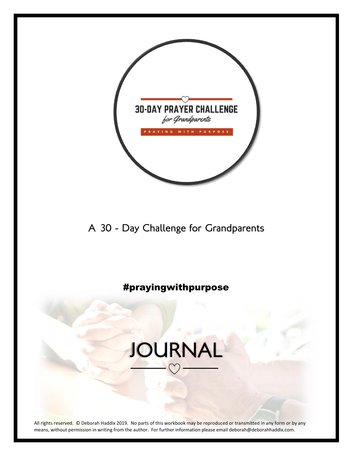

A 30 - Day Challenge for Grandparents

### #prayingwithpurpose

### JOURNAL

All rights reserved. © Deborah Haddix 2019. No parts of this workbook may be reproduced or transmitted in any form or by any means, without permission in writing from the author. For further information please email deborah@deborahhaddix.com.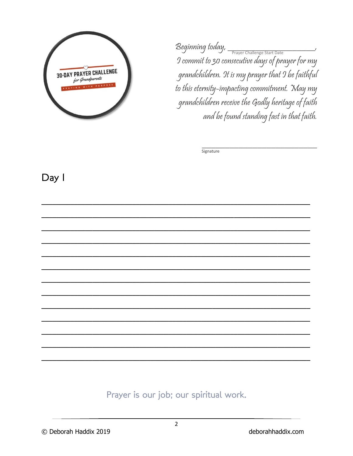

Beginning today, Prayer Challenge Start Date 9 commit to 30 consecutive days of prayer for my grandchildren. It is my prayer that I be faithful to this eternity-impacting commitment. May my grandchildren receive the Godly heritage of faith and be found standing fast in that faith.

Signature

Day I

Prayer is our job; our spiritual work.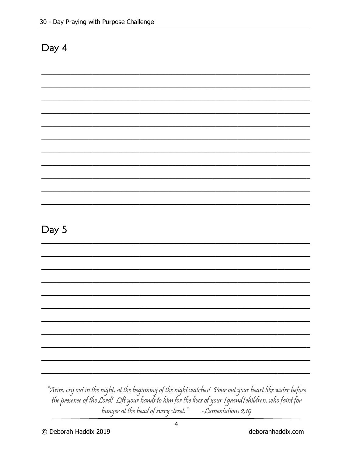| v<br>N<br>a |  |
|-------------|--|
|-------------|--|

"Arise, cry out in the night, at the beginning of the night watches! Pour out your heart like water before the presence of the Lord! Lift your hands to him for the lives of your [grand]children, who faint for hunger at the head of every street." - Lamentations 2:19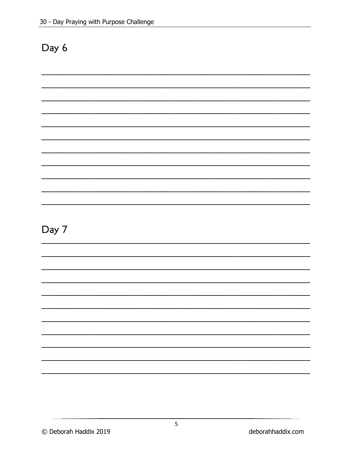| $\overline{\phantom{a}}$<br>Я<br>۷ |  |
|------------------------------------|--|
|------------------------------------|--|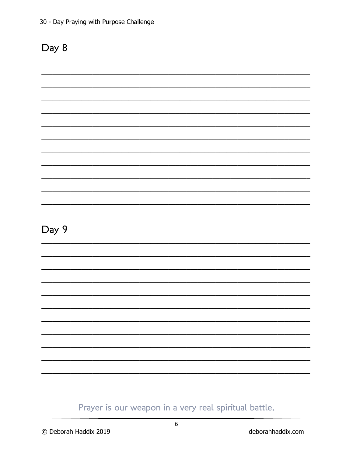### Day 9

Prayer is our weapon in a very real spiritual battle.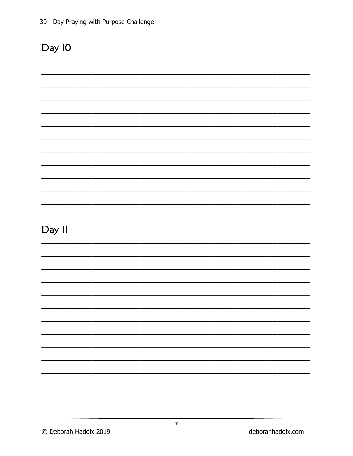### Day II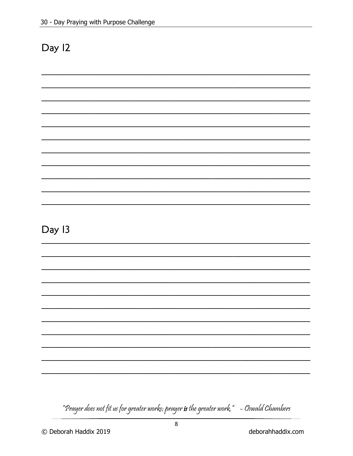Day 13

"Prayer does not fit us for greater works; prayer **is** the greater work,"  $\,$  - Oswald Chambers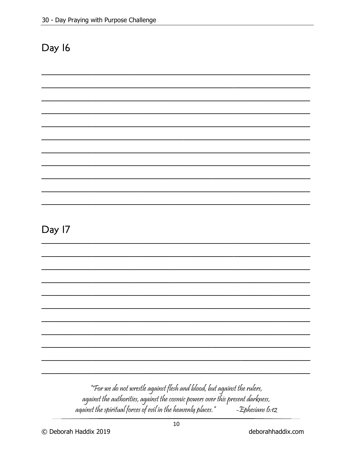Day 17

### "For we do not wrestle against flesh and blood, but against the rulers, against the authorities, against the cosmic powers over this present darkness, against the spiritual forces of evil in the heavenly places." -Ephesians 6:12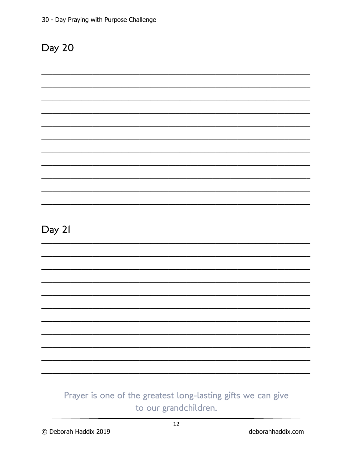Day 21

### Prayer is one of the greatest long-lasting gifts we can give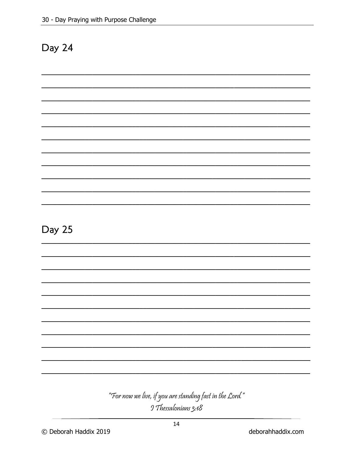Day 25

### "For now we live, if you are standing fast in the Lord." 9 Thessalonians 3:18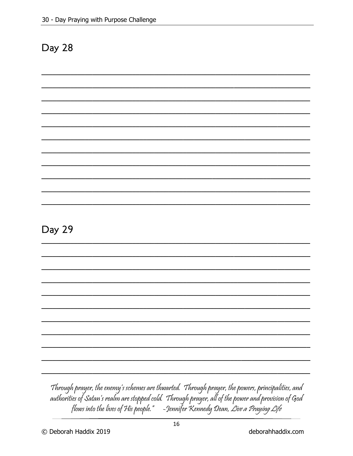Day 29

### Through prayer, the enemy's schemes are thwarted. Through prayer, the powers, principalities, and

authorities of Satan's realm are stopped cold. Through prayer, all of the power and provision of God flows into the lives of His people." - Jennifer Kennedy Dean, Live a Praying Life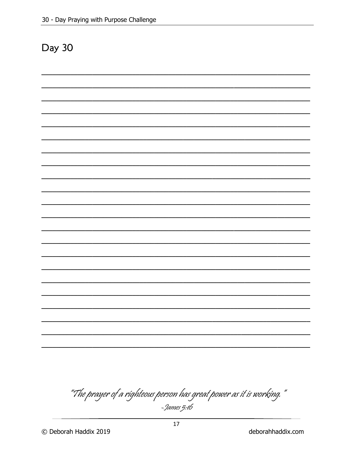" The prayer of a righteous person has great power as it is working,"<br>- <sup>9</sup>ames 5:16

deborahhaddix.com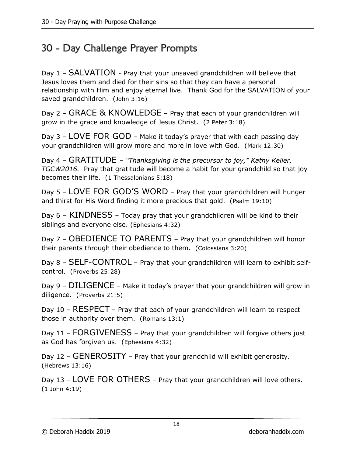### 30 - Day Challenge Prayer Prompts

Day 1 – SALVATION - Pray that your unsaved grandchildren will believe that Jesus loves them and died for their sins so that they can have a personal relationship with Him and enjoy eternal live. Thank God for the SALVATION of your saved grandchildren. (John 3:16)

Day 2 – GRACE & KNOWLEDGE – Pray that each of your grandchildren will grow in the grace and knowledge of Jesus Christ. (2 Peter 3:18)

Day 3 – LOVE FOR GOD – Make it today's prayer that with each passing day your grandchildren will grow more and more in love with God. (Mark 12:30)

Day 4 – GRATITUDE – *"Thanksgiving is the precursor to joy," Kathy Keller, TGCW2016.* Pray that gratitude will become a habit for your grandchild so that joy becomes their life. (1 Thessalonians 5:18)

Day 5 – LOVE FOR GOD'S WORD – Pray that your grandchildren will hunger and thirst for His Word finding it more precious that gold. (Psalm 19:10)

Day 6 – KINDNESS – Today pray that your grandchildren will be kind to their siblings and everyone else. (Ephesians 4:32)

Day 7 – OBEDIENCE TO PARENTS – Pray that your grandchildren will honor their parents through their obedience to them. (Colossians 3:20)

Day 8 – SELF-CONTROL – Pray that your grandchildren will learn to exhibit selfcontrol. (Proverbs 25:28)

Day 9 – DILIGENCE – Make it today's prayer that your grandchildren will grow in diligence. (Proverbs 21:5)

Day 10 – RESPECT – Pray that each of your grandchildren will learn to respect those in authority over them. (Romans 13:1)

Day 11 – FORGIVENESS – Pray that your grandchildren will forgive others just as God has forgiven us. (Ephesians 4:32)

Day 12 – GENEROSITY – Pray that your grandchild will exhibit generosity. (Hebrews 13:16)

Day 13 – LOVE FOR OTHERS – Pray that your grandchildren will love others. (1 John 4:19)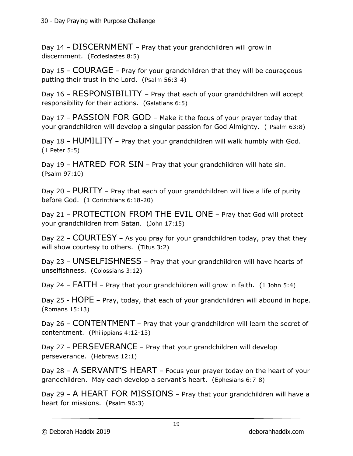Day 14 – DISCERNMENT – Pray that your grandchildren will grow in discernment. (Ecclesiastes 8:5)

Day 15 – COURAGE – Pray for your grandchildren that they will be courageous putting their trust in the Lord. (Psalm 56:3-4)

Day 16 – RESPONSIBILITY – Pray that each of your grandchildren will accept responsibility for their actions. (Galatians 6:5)

Day 17 – PASSION FOR GOD – Make it the focus of your prayer today that your grandchildren will develop a singular passion for God Almighty. ( Psalm 63:8)

Day 18 – HUMILITY – Pray that your grandchildren will walk humbly with God. (1 Peter 5:5)

Day 19 – HATRED FOR SIN – Pray that your grandchildren will hate sin. (Psalm 97:10)

Day 20 – PURITY – Pray that each of your grandchildren will live a life of purity before God. (1 Corinthians 6:18-20)

Day 21 – PROTECTION FROM THE EVIL ONE – Pray that God will protect your grandchildren from Satan. (John 17:15)

Day 22 – COURTESY – As you pray for your grandchildren today, pray that they will show courtesy to others. (Titus 3:2)

Day 23 – UNSELFISHNESS – Pray that your grandchildren will have hearts of unselfishness. (Colossians 3:12)

Day 24 – FAITH – Pray that your grandchildren will grow in faith. (1 John 5:4)

Day 25 - HOPE – Pray, today, that each of your grandchildren will abound in hope. (Romans 15:13)

Day 26 – CONTENTMENT – Pray that your grandchildren will learn the secret of contentment. (Philippians 4:12-13)

Day 27 – PERSEVERANCE – Pray that your grandchildren will develop perseverance. (Hebrews 12:1)

Day 28 – A SERVANT'S HEART – Focus your prayer today on the heart of your grandchildren. May each develop a servant's heart. (Ephesians 6:7-8)

Day 29 – A HEART FOR MISSIONS – Pray that your grandchildren will have a heart for missions. (Psalm 96:3)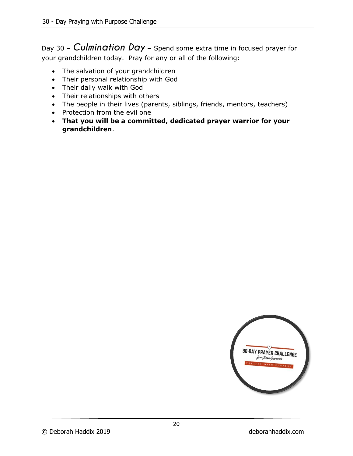Day 30 – *Culmination Day* **–** Spend some extra time in focused prayer for your grandchildren today. Pray for any or all of the following:

- The salvation of your grandchildren
- Their personal relationship with God
- Their daily walk with God
- Their relationships with others
- The people in their lives (parents, siblings, friends, mentors, teachers)
- Protection from the evil one
- **That you will be a committed, dedicated prayer warrior for your grandchildren**.